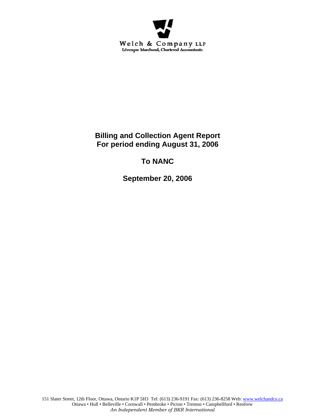

**Billing and Collection Agent Report For period ending August 31, 2006** 

# **To NANC**

**September 20, 2006**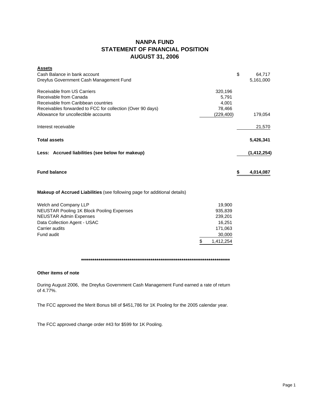## **NANPA FUND STATEMENT OF FINANCIAL POSITION AUGUST 31, 2006**

| <b>Assets</b>                                                                    |           |                 |
|----------------------------------------------------------------------------------|-----------|-----------------|
| Cash Balance in bank account                                                     |           | \$<br>64,717    |
| Dreyfus Government Cash Management Fund                                          |           | 5,161,000       |
| Receivable from US Carriers                                                      | 320,196   |                 |
| Receivable from Canada                                                           | 5.791     |                 |
| Receivable from Caribbean countries                                              | 4,001     |                 |
| Receivables forwarded to FCC for collection (Over 90 days)                       | 78,466    |                 |
| Allowance for uncollectible accounts                                             | (229,400) | 179,054         |
| Interest receivable                                                              |           | 21,570          |
| <b>Total assets</b>                                                              |           | 5,426,341       |
| Less: Accrued liabilities (see below for makeup)                                 |           | (1, 412, 254)   |
| <b>Fund balance</b>                                                              |           | \$<br>4,014,087 |
| <b>Makeup of Accrued Liabilities</b> (see following page for additional details) |           |                 |
| Welch and Company LLP                                                            | 19,900    |                 |

|    | .         |
|----|-----------|
|    | 935.839   |
|    | 239,201   |
|    | 16.251    |
|    | 171,063   |
|    | 30,000    |
| .S | 1.412.254 |
|    |           |

**\*\*\*\*\*\*\*\*\*\*\*\*\*\*\*\*\*\*\*\*\*\*\*\*\*\*\*\*\*\*\*\*\*\*\*\*\*\*\*\*\*\*\*\*\*\*\*\*\*\*\*\*\*\*\*\*\*\*\*\*\*\*\*\*\*\*\*\*\*\*\*\*\*\*\*\*\***

### **Other items of note**

During August 2006, the Dreyfus Government Cash Management Fund earned a rate of return of 4.77%.

The FCC approved the Merit Bonus bill of \$451,786 for 1K Pooling for the 2005 calendar year.

The FCC approved change order #43 for \$599 for 1K Pooling.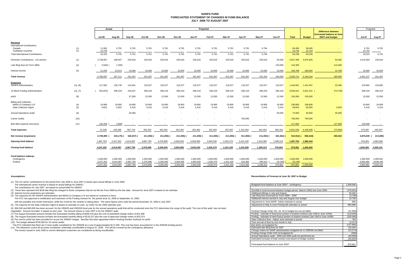#### **NANPA FUND FORECASTED STATEMENT OF CHANGES IN FUND BALANCEJULY 2006 TO AUGUST 2007**

|                                                                                      |            |                                     |                                     | Actual<br>Projected                 |                                     |                                     |                                     |                                     |                                     |                                     |                                   |                                   |                                 |                                 |                        | Projected                                                                   |                                     |                                     |
|--------------------------------------------------------------------------------------|------------|-------------------------------------|-------------------------------------|-------------------------------------|-------------------------------------|-------------------------------------|-------------------------------------|-------------------------------------|-------------------------------------|-------------------------------------|-----------------------------------|-----------------------------------|---------------------------------|---------------------------------|------------------------|-----------------------------------------------------------------------------|-------------------------------------|-------------------------------------|
|                                                                                      |            | <b>Jul-06</b>                       | Aug-06                              | Sep-06                              | Oct-06                              | <b>Nov-06</b>                       | Dec-06                              | <b>Jan-07</b>                       | Feb-07                              | Mar-07                              | Apr-07                            | $May-07$                          | <b>Jun-07</b>                   | <b>Total</b>                    | <b>Budget</b>          | <b>Difference between</b><br>forecasted balance at June<br>30/07 and budget | <b>Jul-07</b>                       | Aug-07                              |
| Revenue<br><b>International Contributions</b><br>Canada                              | (1)        | 11,582                              | 5,791                               | 5,791                               | 5,791                               | 5,791                               | 5,791                               | 5,791                               | 5,791                               | 5,791                               | 5,791                             | 5,794                             | $\sim$                          | 69,495                          | 69,495                 |                                                                             | 5,791                               | 5,791                               |
| Caribbean countries<br><b>Total International Contributions</b>                      | (1)        | 13,743<br>25,325                    | 5,791                               | $\sim$<br>5,791                     | 5,791                               | 5,791                               | $\sim$<br>5,791                     | 5,791                               | 5,791                               | $\sim$<br>5,791                     | 5,791                             | 5,794                             | $\sim$                          | 13,743<br>83,238                | 13,743<br>83,238       |                                                                             | 13,742<br>19,533                    | 5,791                               |
| Domestic Contributions - US carriers                                                 | (1)        | 2,736,857                           | 180,007                             | 220,616                             | 220,616                             | 220,616                             | 220,616                             | 220,616                             | 220,616                             | 220,616                             | 220,616                           | 220,616                           | 25,000                          | 4,927,408                       | 4,876,926              | 50,482                                                                      | 4,416,594                           | 220,616                             |
|                                                                                      |            |                                     |                                     |                                     |                                     |                                     |                                     |                                     |                                     |                                     |                                   |                                   |                                 |                                 |                        |                                                                             |                                     |                                     |
| Late filing fees for Form 499A                                                       | (2)        | 2,500                               | 1,200                               |                                     |                                     |                                     |                                     |                                     |                                     |                                     |                                   |                                   | 120,000                         | 116,300                         |                        | 116,300                                                                     |                                     | $\sim$                              |
| Interest income                                                                      | (3)        | 21,255                              | 22,513                              | 15,000                              | 15,000                              | 15,000                              | 15,000                              | 15,000                              | 15,000                              | 15,000                              | 15,000                            | 15,000                            | 15,000                          | 193,768                         | 180,000                | 13,768                                                                      | 15,000                              | 15,000                              |
| <b>Total revenue</b>                                                                 |            | 2,780,937                           | 207,111                             | 241,407                             | 241,407                             | 241,407                             | 241,407                             | 241,407                             | 241,407                             | 241,407                             | 241,407                           | 241,410                           | 160.000                         | 5.320.714                       | 5,140,164              | 180,550                                                                     | 4,451,127                           | 241,407                             |
| <b>Expenses</b><br><b>NANPA Administration</b>                                       | (4), (8)   | 117,562                             | 120,745                             | 141,601                             | 118,227                             | 118,227                             | 118,227                             | 118,227                             | 118,227                             | 118,227                             | 118,227                           | 118,227                           | 118,227                         | 1,443,951                       | 1,421,467              | 22,484                                                                      | 120,862                             | 120,862                             |
| 1K Block Pooling Administration                                                      | (4), (7)   | 255,876)                            | 296,419                             | 318,327                             | 296,419                             | 296,419                             | 296,419                             | 296,419                             | 296,419                             | 296,419                             | 296,419                           | 296,419                           | 296,419                         | 3,026,641                       | 3,501,341              | 474,700)                                                                    | 296,419                             | 296,419                             |
| pANI                                                                                 | (9)        |                                     |                                     | 37,500                              | 12,500                              | 12,500                              | 12,500                              | 12,500                              | 12,500                              | 12,500                              | 12,500                            | 12,500                            | 12,500                          | 150,000                         | 150,000                |                                                                             | 12,500                              | 12,500                              |
| <b>Billing and Collection</b><br>Welch & Company LLP<br><b>Data Collection Agent</b> | (4)<br>(5) | 19,900<br>9,652                     | 19,900<br>5,822                     | 19,900<br>5,416                     | 19,900<br>5,416                     | 19,900<br>5,416                     | 19,900<br>5,416                     | 19,900<br>5,416                     | 19,900<br>5,416                     | 19,900<br>5,416                     | 19,900<br>5,416                   | 19,900<br>5,416                   | 19,900<br>5,416                 | 238,800<br>69,634               | 238,800<br>65,000      | 4,634                                                                       | 19,900<br>5,416                     | 19,900<br>5,416                     |
| <b>Annual Operations Audit</b>                                                       | (6)        |                                     |                                     | 45,000                              |                                     |                                     |                                     |                                     |                                     |                                     |                                   |                                   | 30,000                          | 75,000                          | 30,000                 | 45,000                                                                      |                                     |                                     |
| <b>Carrier Audits</b>                                                                | (10)       |                                     |                                     |                                     |                                     |                                     |                                     |                                     |                                     |                                     | 700,000                           |                                   | $\sim$                          | 700,000                         | 700,000                |                                                                             |                                     |                                     |
| Bad debt expense (recovery)                                                          | (11)       | 130,200                             | 2,600)                              | $\sim$                              |                                     |                                     |                                     |                                     |                                     |                                     |                                   |                                   | $\sim$                          | 127,600                         |                        | 127,600                                                                     | 120,000                             | $\sim$ $-$                          |
| <b>Total expenses</b>                                                                |            | 21,438                              | 440,286                             | 567,744                             | 452,462                             | 452,462                             | 452,462                             | 452,462                             | 452,462                             | 452,462                             | 1,152,462                         | 452,462                           | 482,462                         | 5,831,626                       | 6,106,608              | 274,982)                                                                    | 575,097                             | 455,097                             |
| Net revenue (expenses)                                                               |            | 2,759,499 (                         | 233,175) (                          | 326,337) (                          | 211,055) (                          | 211,055)(                           | 211,055)                            | 211,055)                            | 211,055)                            | 211,055)                            | 911,055)                          | 211,052)                          | 322,462                         | $510,912$ ) (                   | 966,444)               | 455,532                                                                     | 3,876,030 (                         | 213,690                             |
| <b>Opening fund balance</b>                                                          |            | 1,487,763                           | 4,247,262                           | 4,014,087                           | 3,687,750                           | 3,476,695                           | 3,265,640                           | 3,054,585                           | 2,843,530                           | 2,632,475                           | 2,421,420                         | 1,510,365                         | 1,299,313                       | 1,487,763                       | 1,966,444              |                                                                             | 976,851                             | 4,852,881                           |
| <b>Closing fund balance</b>                                                          |            | 4,247,262                           | 4,014,087                           | 3,687,750                           | 3,476,695                           | 3,265,640                           | 3,054,585                           | 2,843,530                           | 2,632,475                           | 2,421,420                           | 1,510,365                         | 1,299,313                         | 976,851                         | 976,851                         | 1,000,000              |                                                                             | 4,852,881                           | 4,639,191                           |
| Fund balance makeup:<br>Contingency<br>Surplus                                       |            | 1,000,000<br>3,247,262<br>4,247,262 | 1,000,000<br>3,014,087<br>4,014,087 | 1,000,000<br>2,687,750<br>3,687,750 | 1,000,000<br>2,476,695<br>3,476,695 | 1,000,000<br>2,265,640<br>3,265,640 | 1,000,000<br>2,054,585<br>3,054,585 | 1,000,000<br>1,843,530<br>2,843,530 | 1,000,000<br>1,632,475<br>2,632,475 | 1,000,000<br>1,421,420<br>2,421,420 | 1,000,000<br>510,365<br>1,510,365 | 1,000,000<br>299,313<br>1,299,313 | 1,000,000<br>23,149)<br>976,851 | 1,000,000<br>23,149)<br>976,851 | 1,000,000<br>1,000,000 |                                                                             | 1,000,000<br>3,852,881<br>4,852,881 | 1,000,001<br>3,639,190<br>4,639,191 |

#### **Assumptions: Reconciliation of Forecast at June 30, 2007 to Budget**

(1) The US carrier contributions for the period from July 2006 to June 2007 is based upon actual billings in June 2006.

(3) Interest income projections are estimates

- (7) The August forecasted amount includes the forecasted monthly billing of \$296,419 plus the cost of submitted change orders of \$21,908
- (8) The August forecasted amount includes the forecasted monthly billing of \$118,227 plus the cost of approved change orders of \$23,374.
- (9) The cost for pANI has been provided for as per the 2006/07 budget. NeuStar has been appointed Interim Routing Number Authority for pANI.
- $(10)$  The budget allowed \$700,000 for 16 carrier audits.

| The International carrier revenue is based on actual billings for 2006/07.                                                                                                                                                | Budgeted fund balance at June 30/07 - contingency                                      | 1,000,000  |
|---------------------------------------------------------------------------------------------------------------------------------------------------------------------------------------------------------------------------|----------------------------------------------------------------------------------------|------------|
| The contributions for July 2007 are based on actual billed for 2006/07                                                                                                                                                    |                                                                                        |            |
| These fees represent the \$100 late filing fee charged to those companies that do not file the Form 499A by the due date. Amount for June 2007 is based on an estimate.                                                   | Shortfall in fund incurred between budget period (March 2006) and June 2006            | (478, 681) |
| Interest income projections are estimates                                                                                                                                                                                 | Additional billings in July and August                                                 | 50,482     |
| The expenses for the NANPA Administration and Welch & Company LLP are based on contracts in force.                                                                                                                        | Late filing fees (reversal) for Form 499A - 2006                                       | (3,700)    |
| The FCC has approved a modification and extension of the Pooling contract for the period June 15, 2006 to September 14, 2006                                                                                              | Additional interest earned in July and August over budget                              | 13.768     |
| with two possible one-month extensions, while the re-bid for the contract is taking place. The same figures were used the period November 15, 2006 to July 2007.                                                          | Adjustment to June NANP Admin estimate to actual                                       | 890        |
| The expense for the Data Collection Agent is based on estimate of costs by USAC for the 2006 calendar year.                                                                                                               | Adjustment to May & June Pooling bill estimates to actual                              | 895,899    |
| \$30,000 and \$45,000 has been accrued for the 2004/05 and 2005/06 fiscal year for the annual operations audit that will be conducted once the FCC determines the scope of the audit. The cost of this audit has not been |                                                                                        |            |
| otiated. Amount recorded is based on prior year. The amount shown in June 2007 is for the 2006/07 audit.                                                                                                                  | Pooling Change Order #41, 44, 45 in budget but not yet billed                          | (21,908)   |
| The August forecasted amount includes the forecasted monthly billing of \$296,419 plus the cost of submitted change orders of \$21,908                                                                                    | Pooling - estimate of fixed price portion of expired contract (Jan 1/06 to June 14/06) | (118,000)  |
| The August forecasted amount includes the forecasted monthly billing of \$118,227 plus the cost of approved change orders of \$23,374.                                                                                    | Pooling - estimate of merit bonus portion of expired contract (Jan 1/06 to June 14/06) | (225,000)  |
| The cost for pANI has been provided for as per the 2006/07 budget. NeuStar has been appointed Interim Routing Number Authority for pANI.                                                                                  | Data Collection fees - Adjust June estimate to actual                                  | 783        |
| The budget allowed \$700,000 for 16 carrier audits.                                                                                                                                                                       | Over accrual of fees by one month in July                                              | (5, 417)   |
| ne FCC indicated that there are 3 more audits completed for the 2005/06 at a cost of approximately \$171,000. This cost has been accounted for in the 2005/06 funding period.                                             | Bad debts not budgeted for                                                             | (127,600)  |
| The allowance covers all accounts considered potentially uncollectible at August 31, 2006. This will be covered by the contingency allowance.                                                                             | Estimated late filing fees for 2007                                                    | 120.000    |
| The invoice issued in June 2006 to current delinguent customers are considered as being uncollectible.                                                                                                                    | Change orders for NANP administration budgeted for in 2005/06 not billed               | (23, 374)  |
|                                                                                                                                                                                                                           | Pooling change Order #43 not budgeted for                                              | (599)      |
|                                                                                                                                                                                                                           | Annual Operations audit - 2005 and 2006 audit not performed yet                        | (45,000)   |
|                                                                                                                                                                                                                           | Estimated increase of total contract cost based on bridge contract                     | (55, 692)  |
|                                                                                                                                                                                                                           | Forecasted fund balance at June 30/07                                                  | 976,851    |